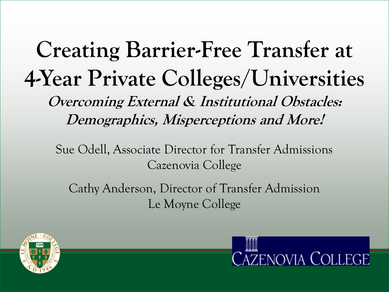**Creating Barrier-Free Transfer at 4-Year Private Colleges/Universities Overcoming External & Institutional Obstacles: Demographics, Misperceptions and More!**

Sue Odell, Associate Director for Transfer Admissions Cazenovia College

Cathy Anderson, Director of Transfer Admission Le Moyne College



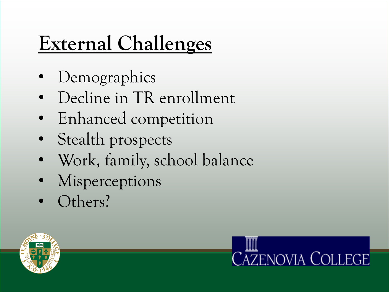# **External Challenges**

- Demographics
- Decline in TR enrollment
- Enhanced competition
- Stealth prospects
- Work, family, school balance
- **Misperceptions**
- Others?



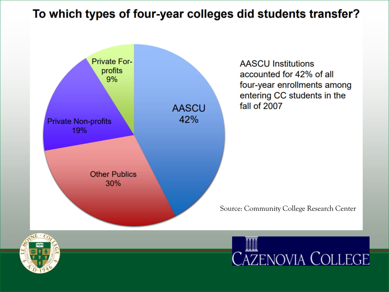#### To which types of four-year colleges did students transfer?





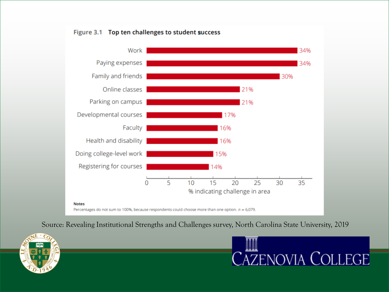



Percentages do not sum to 100%, because respondents could choose more than one option.  $n = 6,079$ .

Source: Revealing Institutional Strengths and Challenges survey, North Carolina State University, 2019



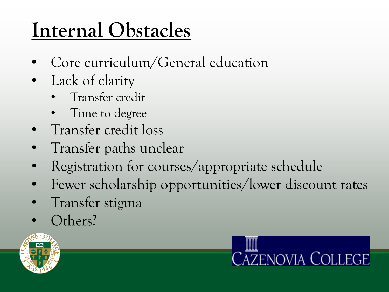## **Internal Obstacles**

- Core curriculum/General education
- Lack of clarity
	- Transfer credit
	- Time to degree
- Transfer credit loss
- Transfer paths unclear
- Registration for courses/appropriate schedule
- Fewer scholarship opportunities/lower discount rates
- Transfer stigma
- Others?



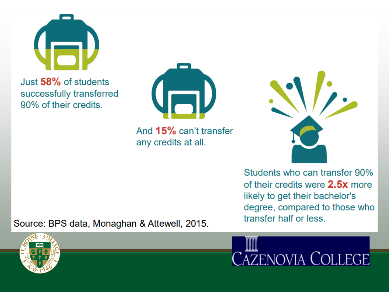

Just 58% of students successfully transferred 90% of their credits.

Source: BPS data, Monaghan & Attewell, 2015.



And 15% can't transfer any credits at all.



Students who can transfer 90% of their credits were 2.5x more likely to get their bachelor's degree, compared to those who transfer half or less.

**CAZENOVIA COLLEGE**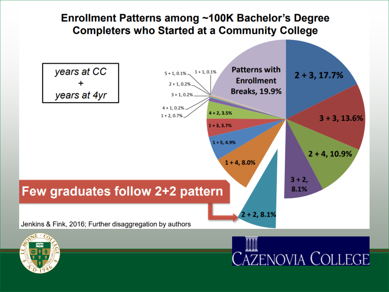#### Enrollment Patterns among ~100K Bachelor's Degree **Completers who Started at a Community College**

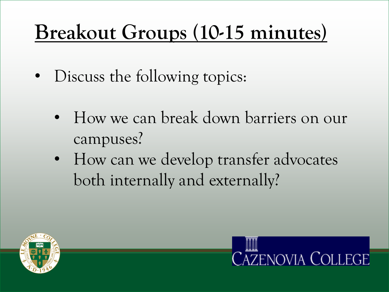## **Breakout Groups (10-15 minutes)**

- Discuss the following topics:
	- How we can break down barriers on our campuses?
	- How can we develop transfer advocates both internally and externally?



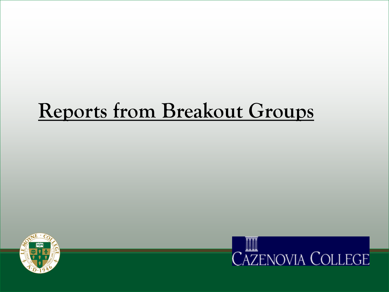#### **Reports from Breakout Groups**



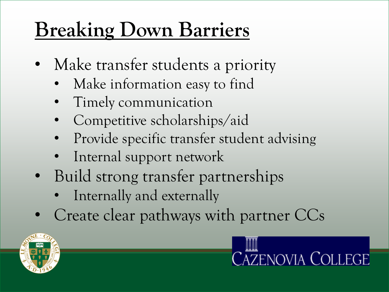## **Breaking Down Barriers**

- Make transfer students a priority
	- Make information easy to find
	- Timely communication
	- Competitive scholarships/aid
	- Provide specific transfer student advising
	- Internal support network
- Build strong transfer partnerships
	- Internally and externally
- Create clear pathways with partner CCs



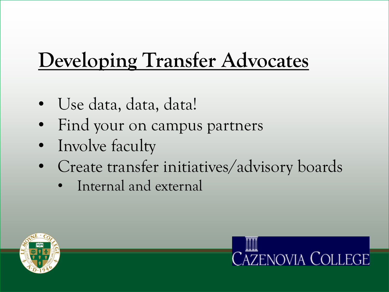## **Developing Transfer Advocates**

- Use data, data, data!
- Find your on campus partners
- Involve faculty
- Create transfer initiatives/advisory boards
	- Internal and external